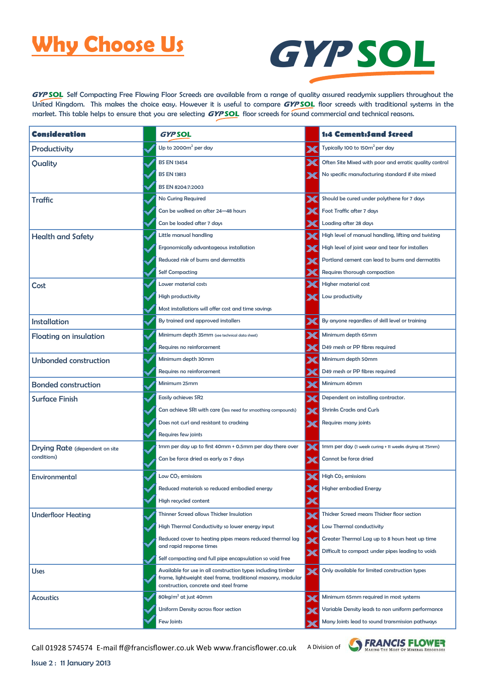### **Why Choose Us**



GYP SOL Self Compacting Free Flowing Floor Screeds are available from a range of quality assured readymix suppliers throughout the United Kingdom. This makes the choice easy. However it is useful to compare GYPSOL floor screeds with traditional systems in the market. This table helps to ensure that you are selecting **GYP SOL** floor screeds for sound commercial and technical reasons.

| Consideration                         | <b>GYPSOL</b>                                                                                                                                                          | 1:4 Cement:Sand Screed                                 |
|---------------------------------------|------------------------------------------------------------------------------------------------------------------------------------------------------------------------|--------------------------------------------------------|
| Productivity                          | Up to 2000 $m^2$ per day                                                                                                                                               | Typically 100 to 150m <sup>2</sup> per day             |
| Quality                               | <b>BS EN 13454</b>                                                                                                                                                     | Often Site Mixed with poor and erratic quality control |
|                                       | <b>BS EN 13813</b>                                                                                                                                                     | No specific manufacturing standard if site mixed       |
|                                       | BS EN 8204:7:2003                                                                                                                                                      |                                                        |
| <b>Traffic</b>                        | No Curing Required                                                                                                                                                     | Should be cured under polythene for 7 days             |
|                                       | Can be walked on after 24-48 hours                                                                                                                                     | Foot Traffic after 7 days                              |
|                                       | Can be loaded after 7 days                                                                                                                                             | Loading after 28 days                                  |
| <b>Health and Safety</b>              | Little manual handling                                                                                                                                                 | High level of manual handling, lifting and twisting    |
|                                       | Ergonomically advantageous installation                                                                                                                                | High level of joint wear and tear for installers       |
|                                       | Reduced risk of burns and dermatitis                                                                                                                                   | Portland cement can lead to burns and dermatitis       |
|                                       | <b>Self Compacting</b>                                                                                                                                                 | Requires thorough compaction                           |
| Cost                                  | Lower material costs                                                                                                                                                   | <b>Higher material cost</b>                            |
|                                       | High productivity                                                                                                                                                      | Low productivity                                       |
|                                       | Most installations will offer cost and time savings                                                                                                                    |                                                        |
| <b>Installation</b>                   | By trained and approved installers                                                                                                                                     | By anyone regardless of skill level or training        |
| <b>Floating on insulation</b>         | Minimum depth 35mm (see technical data sheet)                                                                                                                          | Minimum depth 65mm                                     |
|                                       | Requires no reinforcement                                                                                                                                              | D49 mesh or PP fibres required                         |
| <b>Unbonded construction</b>          | Minimum depth 30mm                                                                                                                                                     | Minimum depth 50mm                                     |
|                                       | Requires no reinforcement                                                                                                                                              | D49 mesh or PP fibres required                         |
| <b>Bonded construction</b>            | Minimum 25mm                                                                                                                                                           | Minimum 40mm                                           |
| <b>Surface Finish</b>                 | <b>Easily achieves SR2</b>                                                                                                                                             | Dependent on installing contractor.                    |
|                                       | Can achieve SR1 with care (less need for smoothing compounds)                                                                                                          | <b>Shrinks Cracks and Curls</b>                        |
|                                       | Does not curl and resistant to cracking                                                                                                                                | Requires many joints                                   |
|                                       | Requires few joints                                                                                                                                                    |                                                        |
| <b>Drying Rate</b> (dependent on site | 1mm per day up to first 40mm + 0.5mm per day there over                                                                                                                | 1mm per day (1 week curing + 11 weeks drying at 75mm)  |
| conditions)                           | Can be force dried as early as 7 days                                                                                                                                  | Cannot be force dried                                  |
| Environmental                         | Low $CO2$ emissions                                                                                                                                                    | High CO <sub>2</sub> emissions                         |
|                                       | Reduced materials so reduced embodied energy                                                                                                                           | <b>Higher embodied Energy</b>                          |
|                                       | High recycled content                                                                                                                                                  |                                                        |
| <b>Underfloor Heating</b>             | <b>Thinner Screed allows Thicker Insulation</b>                                                                                                                        | Thicker Screed means Thicker floor section             |
|                                       | High Thermal Conductivity so lower energy input                                                                                                                        | Low Thermal conductivity                               |
|                                       | Reduced cover to heating pipes means reduced thermal lag                                                                                                               | Greater Thermal Lag up to 8 hours heat up time         |
|                                       | and rapid response times                                                                                                                                               | Difficult to compact under pipes leading to voids      |
|                                       | Self compacting and full pipe encapsulation so void free                                                                                                               |                                                        |
| <b>Uses</b>                           | Available for use in all construction types including timber<br>frame, lightweight steel frame, traditional masonry, modular<br>construction, concrete and steel frame | Only available for limited construction types          |
| <b>Acoustics</b>                      | 80 $kg/m2$ at just 40mm                                                                                                                                                | Minimum 65mm required in most systems                  |
|                                       | Uniform Density across floor section                                                                                                                                   | Variable Density leads to non uniform performance      |
|                                       | Few Joints                                                                                                                                                             | Many Joints lead to sound transmission pathways        |

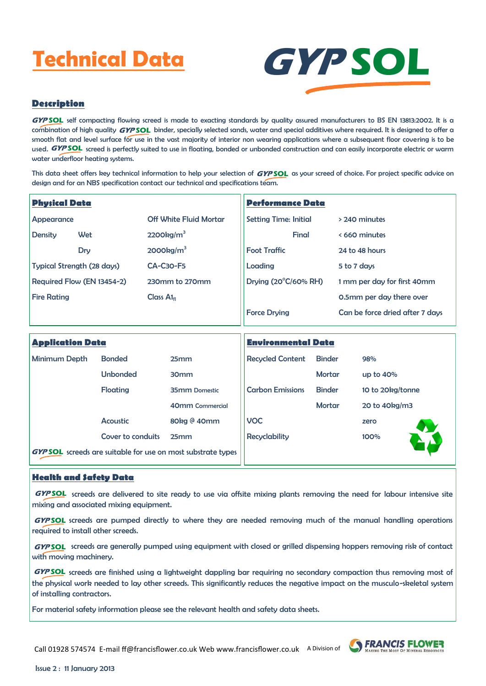# **Technical Data**



### **Description**

GYP SOL self compacting flowing screed is made to exacting standards by quality assured manufacturers to BS EN 13813:2002. It is a  $\epsilon$ ombination of high quality  $GYP SOL$  binder, specially selected sands, water and special additives where required. It is designed to offer a smooth flat and level surface for use in the vast majority of interior non wearing applications where a subsequent floor covering is to be used. GYPSOL screed is perfectly suited to use in floating, bonded or unbonded construction and can easily incorporate electric or warm water underfloor heating systems.

This data sheet offers key technical information to help your selection of  $GYPSOL$  as your screed of choice. For project specific advice on design and for an NBS specification contact our technical and specifications team.

| <b>Physical Data</b> |                            |                               | <b>Performance Data</b>      |                                 |  |  |
|----------------------|----------------------------|-------------------------------|------------------------------|---------------------------------|--|--|
| Appearance           |                            | <b>Off White Fluid Mortar</b> | <b>Setting Time: Initial</b> | > 240 minutes                   |  |  |
| Density              | Wet                        | 2200kg/m <sup>3</sup>         | Final                        | < 660 minutes                   |  |  |
|                      | Dry                        | 2000kg/m <sup>3</sup>         | <b>Foot Traffic</b>          | 24 to 48 hours                  |  |  |
|                      | Typical Strength (28 days) | <b>CA-C30-F5</b>              | Loading                      | 5 to 7 days                     |  |  |
|                      | Required Flow (EN 13454-2) | 230mm to 270mm                | Drying (20°C/60% RH)         | 1 mm per day for first 40mm     |  |  |
| <b>Fire Rating</b>   |                            | Class $Alf1$                  |                              | 0.5mm per day there over        |  |  |
|                      |                            |                               |                              | Can be force dried after 7 days |  |  |

| <b>Application Data</b>                                             |                   |                      | <b>Environmental Data</b> |               |                  |  |
|---------------------------------------------------------------------|-------------------|----------------------|---------------------------|---------------|------------------|--|
| Minimum Depth                                                       | <b>Bonded</b>     | 25mm                 | <b>Recycled Content</b>   | <b>Binder</b> | 98%              |  |
|                                                                     | <b>Unbonded</b>   | 30 <sub>mm</sub>     |                           | <b>Mortar</b> | up to 40%        |  |
|                                                                     | Floating          | <b>35mm Domestic</b> | <b>Carbon Emissions</b>   | <b>Binder</b> | 10 to 20kg/tonne |  |
|                                                                     |                   | 40mm Commercial      |                           | <b>Mortar</b> | 20 to 40kg/m3    |  |
|                                                                     | <b>Acoustic</b>   | 80kg @ 40mm          | <b>VOC</b>                |               | zero             |  |
|                                                                     | Cover to conduits | 25mm                 | <b>Recyclability</b>      |               | 100%             |  |
| <b>GYP SOL</b> screeds are suitable for use on most substrate types |                   |                      |                           |               |                  |  |

#### **Health and Safety Data**

screeds are delivered to site ready to use via offsite mixing plants removing the need for labour intensive site **GYP SOL** mixing and associated mixing equipment.

GYP SOL screeds are pumped directly to where they are needed removing much of the manual handling operations required to install other screeds.

GYP SOL screeds are generally pumped using equipment with closed or grilled dispensing hoppers removing risk of contact with moving machinery.

**GYP SOL** screeds are finished using a lightweight dappling bar requiring no secondary compaction thus removing most of the physical work needed to lay other screeds. This significantly reduces the negative impact on the musculo-skeletal system of installing contractors.

For material safety information please see the relevant health and safety data sheets.



**S** FRANCIS FLOWER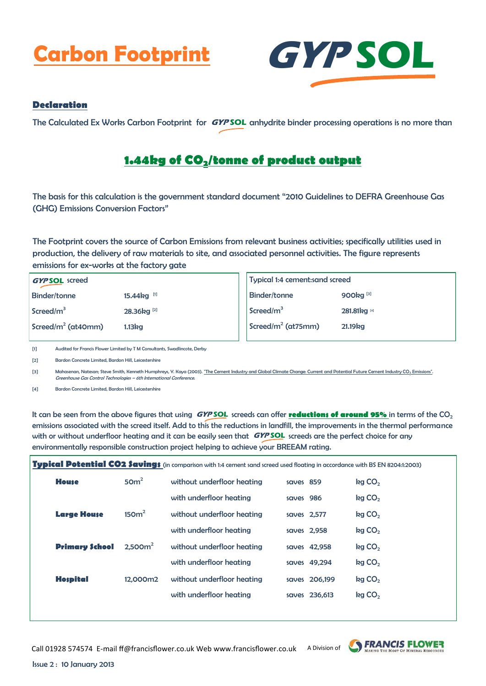## **Carbon Footprint GYP SOL**



#### **Declaration**

The Calculated Ex Works Carbon Footprint for **GYPSOL** anhydrite binder processing operations is no more than

### **1.44kg of CO2/tonne of product output**

The basis for this calculation is the government standard document "2010 Guidelines to DEFRA Greenhouse Gas (GHG) Emissions Conversion Factors"

The Footprint covers the source of Carbon Emissions from relevant business activities; specifically utilities used in production, the delivery of raw materials to site, and associated personnel activities. The figure represents emissions for ex-works at the factory gate

| <b>GYPSOL</b> screed   |                           |
|------------------------|---------------------------|
| <b>Binder/tonne</b>    | 15.44 $kg$ <sup>[1]</sup> |
| Screed/m <sup>3</sup>  | 28.36kg <sup>[2]</sup>    |
| Screed/ $m^2$ (at40mm) | 1.13kg                    |

| Typical 1:4 cement:sand screed          |                      |  |  |
|-----------------------------------------|----------------------|--|--|
| <b>Binder/tonne</b>                     | 900kg <sup>[3]</sup> |  |  |
| Screed/m <sup>3</sup>                   | 281.81kg [4]         |  |  |
| $\sqrt{$ Screed/m <sup>2</sup> (at75mm) | 21.19 <sub>kg</sub>  |  |  |
|                                         |                      |  |  |

[1] Audited for Francis Flower Limited by T M Consultants, Swadlincote, Derby

[2] Bardon Concrete Limited, Bardon Hill, Leicestershire

[3] Mahasenan, Natesan; Steve Smith, Kenneth Humphreys, Y. Kaya (2003). ["The Cement Industry and Global Climate Change: Current and Potential Future Cement Industry CO](http://www.sciencedirect.com/science/article/B873D-4P9MYFN-BK/2/c58323fdf4cbc244856fe80c96447f44)<sub>2</sub> Emissions". Greenhouse Gas Control Technologies – 6th International Conference.

[4] Bardon Concrete Limited, Bardon Hill, Leicestershire

lt can be seen from the above figures that using **GYPSOL** screeds can offer **<u>reductions of around 95% i</u>n terms of the CO**2 emissions associated with the screed itself. Add to this the reductions in landfill, the improvements in the thermal performance with or without underfloor heating and it can be easily seen that  $GYPSOL$  screeds are the perfect choice for any environmentally responsible construction project helping to achieve your BREEAM rating.

| Typical Potential CO2 \$avings (in comparison with 1:4 cement sand screed used floating in accordance with BS EN 8204:1:2003) |                       |                    |                            |             |               |                    |
|-------------------------------------------------------------------------------------------------------------------------------|-----------------------|--------------------|----------------------------|-------------|---------------|--------------------|
|                                                                                                                               | <b>House</b>          | 50 <sup>m²</sup>   | without underfloor heating | saves 859   |               | kg CO <sub>2</sub> |
|                                                                                                                               |                       |                    | with underfloor heating    | saves 986   |               | kg CO <sub>2</sub> |
|                                                                                                                               | <b>Large House</b>    | 150 <sup>2</sup>   | without underfloor heating | saves 2,577 |               | kg CO <sub>2</sub> |
|                                                                                                                               |                       |                    | with underfloor heating    | saves 2,958 |               | kg CO <sub>2</sub> |
|                                                                                                                               | <b>Primary School</b> | 2.500 <sup>2</sup> | without underfloor heating |             | saves 42,958  | kg CO <sub>2</sub> |
|                                                                                                                               |                       |                    | with underfloor heating    |             | saves 49,294  | kg CO <sub>2</sub> |
|                                                                                                                               | <b>Hospital</b>       | 12.000m2           | without underfloor heating |             | saves 206.199 | kg CO <sub>2</sub> |
|                                                                                                                               |                       |                    | with underfloor heating    |             | saves 236,613 | kg CO <sub>2</sub> |
|                                                                                                                               |                       |                    |                            |             |               |                    |



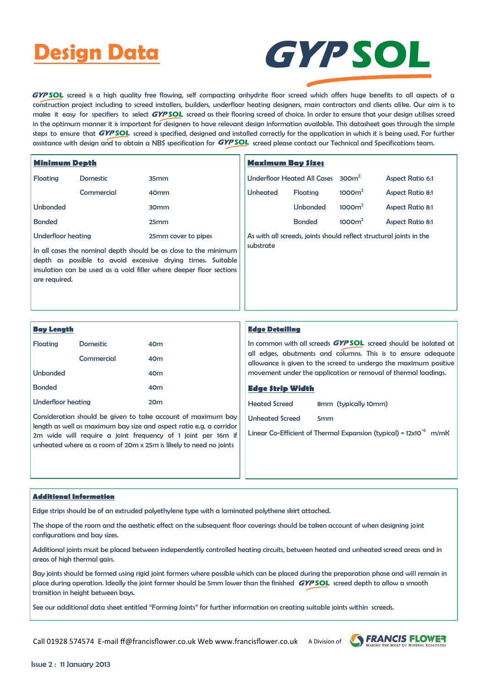### **Design Data**



GYP SOL screed is a high quality free flowing, self compacting anhydrite floor screed which offers huge benefits to all aspects of a construction project including to screed installers, builders, underfloor heating designers, main contractors and clients alike. Our aim is to make it easy for specifiers to select GYPSOL screed as their flooring screed of choice. In order to ensure that your design utilises screed in the optimum manner it is important for designers to have relevant design information available. This datasheet goes through the simple steps to ensure that **GYP SOL** screed is specified, designed and installed correctly for the application in which it is being used. For further assistance with design and to obtain a NBS specification for  $\bm{GYPSOL}$  screed please contact our Technical and Specifications team.

| <b>Minimum Depth</b>                                                                                                                                                                                                    |                 | <b>Maximum Bay Sizes</b>                                            |                 |                                    |                    |                         |
|-------------------------------------------------------------------------------------------------------------------------------------------------------------------------------------------------------------------------|-----------------|---------------------------------------------------------------------|-----------------|------------------------------------|--------------------|-------------------------|
| Floating                                                                                                                                                                                                                | <b>Domestic</b> | 35 <sub>mm</sub>                                                    |                 | <b>Underfloor Heated All Cases</b> | 300 <sup>2</sup>   | <b>Aspect Ratio 6:1</b> |
|                                                                                                                                                                                                                         | Commercial      | 40 <sub>mm</sub>                                                    | <b>Unheated</b> | Floating                           | 1000m <sup>2</sup> | <b>Aspect Ratio 8:1</b> |
| <b>Unbonded</b>                                                                                                                                                                                                         |                 | 30 <sub>mm</sub>                                                    |                 | <b>Unbonded</b>                    | 1000m <sup>2</sup> | <b>Aspect Ratio 8:1</b> |
| <b>Bonded</b>                                                                                                                                                                                                           |                 | 25 <sub>mm</sub>                                                    |                 | <b>Bonded</b>                      | 1000m <sup>2</sup> | <b>Aspect Ratio 8:1</b> |
| Underfloor heating<br>25mm cover to pipes                                                                                                                                                                               |                 | As with all screeds, joints should reflect structural joints in the |                 |                                    |                    |                         |
| In all cases the nominal depth should be as close to the minimum<br>depth as possible to avoid excessive drying times. Suitable<br>insulation can be used as a void filler where deeper floor sections<br>are required. |                 |                                                                     | substrate       |                                    |                    |                         |

| <b>Bay Length</b>                                                                                                                   |            |                                                                | <b>Edge Detailing</b>                                                  |                                                                                                                                  |  |
|-------------------------------------------------------------------------------------------------------------------------------------|------------|----------------------------------------------------------------|------------------------------------------------------------------------|----------------------------------------------------------------------------------------------------------------------------------|--|
| Floating<br><b>Domestic</b>                                                                                                         |            | 40m                                                            | In common with all screeds <b>GYP SOL</b> screed should be isolated at |                                                                                                                                  |  |
|                                                                                                                                     | Commercial | 40 <sub>m</sub>                                                |                                                                        | all edges, abutments and columns. This is to ensure adequate<br>allowance is given to the screed to undergo the maximum positive |  |
| <b>Unbonded</b><br>40 <sub>m</sub>                                                                                                  |            | movement under the application or removal of thermal loadings. |                                                                        |                                                                                                                                  |  |
| <b>Bonded</b>                                                                                                                       |            | 40 <sub>m</sub>                                                | <b>Edge Strip Width</b>                                                |                                                                                                                                  |  |
| Underfloor heating                                                                                                                  |            | 20 <sub>m</sub>                                                | <b>Heated Screed</b>                                                   | 8mm (typically 10mm)                                                                                                             |  |
| Consideration should be given to take account of maximum bay                                                                        |            |                                                                | <b>Unheated Screed</b>                                                 | <b>5mm</b>                                                                                                                       |  |
| length as well as maximum bay size and aspect ratio e.g. a corridor<br>2m wide will require a joint frequency of 1 joint per 16m if |            |                                                                | Linear Co-Efficient of Thermal Expansion (typical) = $12x10^{-6}$ m/mK |                                                                                                                                  |  |

#### **Additional Information**

Edge strips should be of an extruded polyethylene type with a laminated polythene skirt attached.

unheated where as a room of 20m x 25m is likely to need no joints

The shape of the room and the aesthetic effect on the subsequent floor coverings should be taken account of when designing joint configurations and bay sizes.

Additional joints must be placed between independently controlled heating circuits, between heated and unheated screed areas and in areas of high thermal gain.

Bay joints should be formed using rigid joint formers where possible which can be placed during the preparation phase and will remain in place during operation. Ideally the joint former should be 5mm lower than the finished **GYP SOL** screed depth to allow a smooth transition in height between bays.

See our additional data sheet entitled "Forming Joints" for further information on creating suitable joints within screeds.

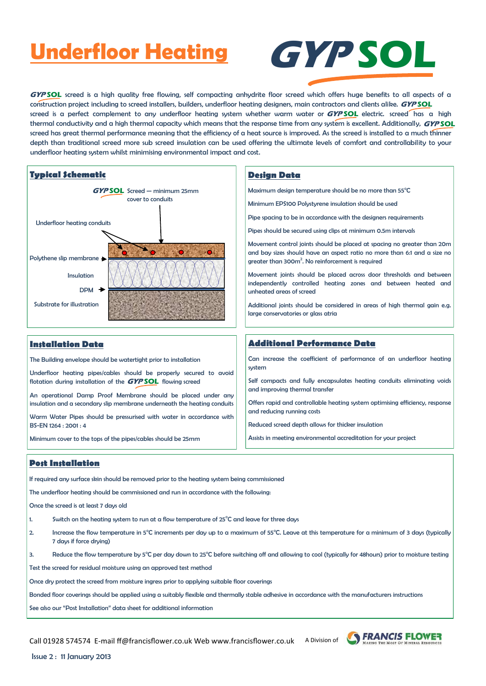### **Underfloor Heating**



GYP SOL screed is a high quality free flowing, self compacting anhydrite floor screed which offers huge benefits to all aspects of a construction project including to screed installers, builders, underfloor heating designers, main contractors and clients alike. **GYP SOL** screed is a perfect complement to any underfloor heating system whether warm water or **GYPSOL** electric. screed has a high thermal conductivity and a high thermal capacity which means that the response time from any system is excellent. Additionally, **GYP SOL** screed has great thermal performance meaning that the efficiency of a heat source is improved. As the screed is installed to a much thinner depth than traditional screed more sub screed insulation can be used offering the ultimate levels of comfort and controllability to your underfloor heating system whilst minimising environmental impact and cost.



#### **Installation Data**

The Building envelope should be watertight prior to installation

Underfloor heating pipes/cables should be properly secured to avoid flotation during installation of the **GYPSOL** flowing screed

An operational Damp Proof Membrane should be placed under any insulation and a secondary slip membrane underneath the heating conduits

Warm Water Pipes should be pressurised with water in accordance with BS-EN 1264 : 2001 : 4

Minimum cover to the tops of the pipes/cables should be 25mm

Maximum design temperature should be no more than 55°C

Minimum EPS100 Polystyrene insulation should be used

Pipe spacing to be in accordance with the designers requirements

Pipes should be secured using clips at minimum 0.5m intervals

Movement control joints should be placed at spacing no greater than 20m and bay sizes should have an aspect ratio no more than 6:1 and a size no greater than  $300m^2$ . No reinforcement is required

Movement joints should be placed across door thresholds and between independently controlled heating zones and between heated and unheated areas of screed

Additional joints should be considered in areas of high thermal gain e.g. large conservatories or glass atria

#### **Additional Performance Data**

Can increase the coefficient of performance of an underfloor heating system

Self compacts and fully encapsulates heating conduits eliminating voids and improving thermal transfer

Offers rapid and controllable heating system optimising efficiency, response and reducing running costs

Reduced screed depth allows for thicker insulation

Assists in meeting environmental accreditation for your project

#### **Post Installation**

If required any surface skin should be removed prior to the heating system being commissioned

The underfloor heating should be commissioned and run in accordance with the following:

Once the screed is at least 7 days old

1. Switch on the heating system to run at a flow temperature of  $25^{\circ}$ C and leave for three days

2. Increase the flow temperature in 5°C increments per day up to a maximum of 55°C. Leave at this temperature for a minimum of 3 days (typically 7 days if force drying)

3. Reduce the flow temperature by 5°C per day down to 25°C before switching off and allowing to cool (typically for 48hours) prior to moisture testing

Test the screed for residual moisture using an approved test method

Once dry protect the screed from moisture ingress prior to applying suitable floor coverings

Bonded floor coverings should be applied using a suitably flexible and thermally stable adhesive in accordance with the manufacturers instructions

See also our "Post Installation" data sheet for additional information